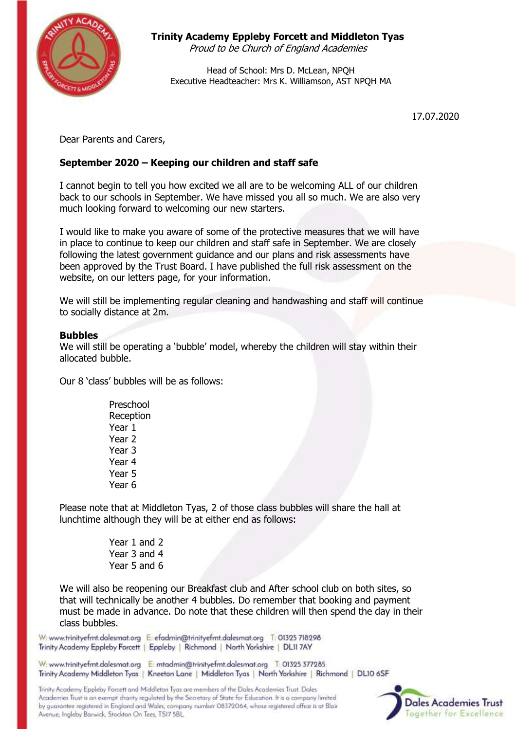

# **Trinity Academy Eppleby Forcett and Middleton Tyas**

Proud to be Church of England Academies

Head of School: Mrs D. McLean, NPQH Executive Headteacher: Mrs K. Williamson, AST NPQH MA

17.07.2020

Dear Parents and Carers,

# **September 2020 – Keeping our children and staff safe**

I cannot begin to tell you how excited we all are to be welcoming ALL of our children back to our schools in September. We have missed you all so much. We are also very much looking forward to welcoming our new starters.

I would like to make you aware of some of the protective measures that we will have in place to continue to keep our children and staff safe in September. We are closely following the latest government guidance and our plans and risk assessments have been approved by the Trust Board. I have published the full risk assessment on the website, on our letters page, for your information.

We will still be implementing regular cleaning and handwashing and staff will continue to socially distance at 2m.

## **Bubbles**

We will still be operating a 'bubble' model, whereby the children will stay within their allocated bubble.

Our 8 'class' bubbles will be as follows:

Preschool **Reception** Year 1 Year 2 Year 3 Year 4 Year 5 Year 6

Please note that at Middleton Tyas, 2 of those class bubbles will share the hall at lunchtime although they will be at either end as follows:

> Year 1 and 2 Year 3 and 4 Year 5 and 6

We will also be reopening our Breakfast club and After school club on both sites, so that will technically be another 4 bubbles. Do remember that booking and payment must be made in advance. Do note that these children will then spend the day in their class bubbles.

W: www.trinityefmt.dalesmat.org E: efadmin@trinityefmt.dalesmat.org T: 01325 718298 Trinity Academy Eppleby Forcett | Eppleby | Richmond | North Yorkshire | DL11 7AY

W: www.trinityefmt.dalesmat.org E: mtadmin@trinityefmt.dalesmat.org T: 01325 377285 Trinity Academy Middleton Tyas | Kneeton Lane | Middleton Tyas | North Yorkshire | Richmond | DL10 6SF

Trinity Academy Eppleby Forcett and Middleton Tyas are members of the Dales Academies Trust. Dales Academies Trust is an exempt charity regulated by the Secretary of State for Education. It is a company limited by guarantee registered in England and Wales, company number 08372064, whose registered office is at Blair Avenue, Ingleby Barwick, Stockton On Tees, TS17 5BL

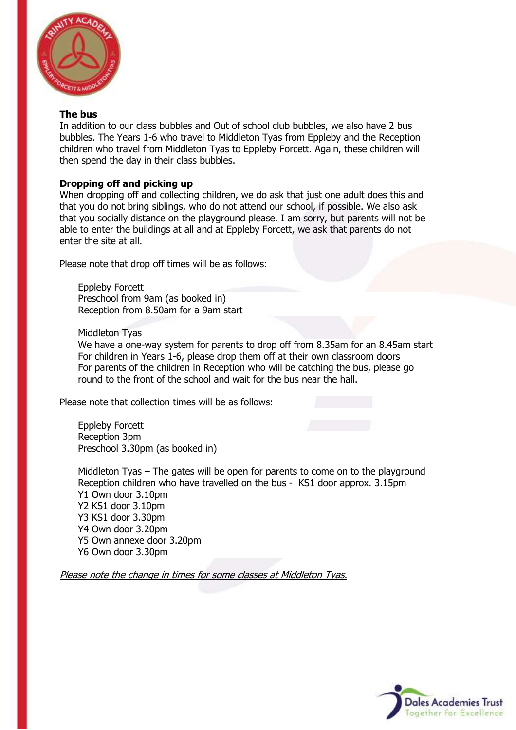

#### **The bus**

In addition to our class bubbles and Out of school club bubbles, we also have 2 bus bubbles. The Years 1-6 who travel to Middleton Tyas from Eppleby and the Reception children who travel from Middleton Tyas to Eppleby Forcett. Again, these children will then spend the day in their class bubbles.

## **Dropping off and picking up**

When dropping off and collecting children, we do ask that just one adult does this and that you do not bring siblings, who do not attend our school, if possible. We also ask that you socially distance on the playground please. I am sorry, but parents will not be able to enter the buildings at all and at Eppleby Forcett, we ask that parents do not enter the site at all.

Please note that drop off times will be as follows:

Eppleby Forcett Preschool from 9am (as booked in) Reception from 8.50am for a 9am start

Middleton Tyas

We have a one-way system for parents to drop off from 8.35am for an 8.45am start For children in Years 1-6, please drop them off at their own classroom doors For parents of the children in Reception who will be catching the bus, please go round to the front of the school and wait for the bus near the hall.

Please note that collection times will be as follows:

Eppleby Forcett Reception 3pm Preschool 3.30pm (as booked in)

Middleton Tyas – The gates will be open for parents to come on to the playground Reception children who have travelled on the bus - KS1 door approx. 3.15pm Y1 Own door 3.10pm Y2 KS1 door 3.10pm Y3 KS1 door 3.30pm Y4 Own door 3.20pm Y5 Own annexe door 3.20pm Y6 Own door 3.30pm

Please note the change in times for some classes at Middleton Tyas.